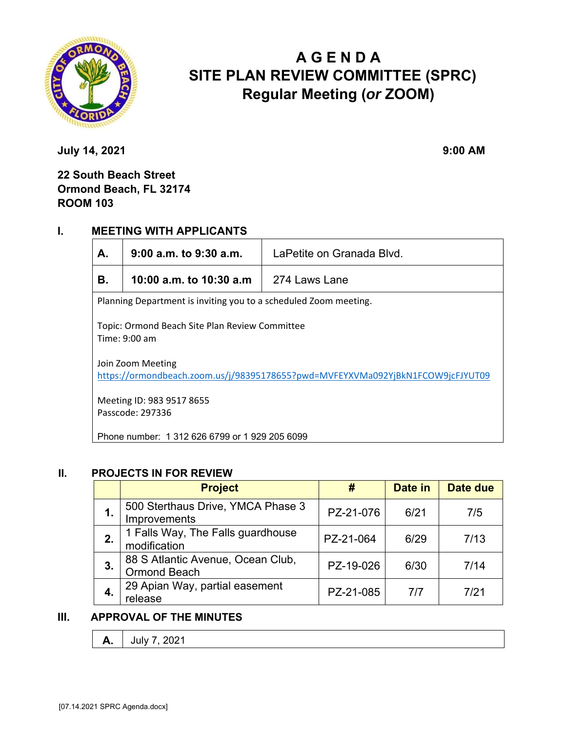

# **A G E N D A SITE PLAN REVIEW COMMITTEE (SPRC) Regular Meeting (***or* **ZOOM)**

**July 14, 2021 9:00 AM** 

## **22 South Beach Street Ormond Beach, FL 32174 ROOM 103**

## **I. MEETING WITH APPLICANTS**

| А.                                                                                                  | 9:00 a.m. to 9:30 a.m.   | LaPetite on Granada Blvd. |  |  |  |
|-----------------------------------------------------------------------------------------------------|--------------------------|---------------------------|--|--|--|
| В.                                                                                                  | 10:00 a.m. to 10:30 a.m. | 274 Laws Lane             |  |  |  |
| Planning Department is inviting you to a scheduled Zoom meeting.                                    |                          |                           |  |  |  |
| Topic: Ormond Beach Site Plan Review Committee<br>Time: 9:00 am                                     |                          |                           |  |  |  |
| Join Zoom Meeting<br>https://ormondbeach.zoom.us/j/98395178655?pwd=MVFEYXVMa092YjBkN1FCOW9jcFJYUT09 |                          |                           |  |  |  |
| Meeting ID: 983 9517 8655<br>Passcode: 297336                                                       |                          |                           |  |  |  |
| Phone number: 1 312 626 6799 or 1 929 205 6099                                                      |                          |                           |  |  |  |

#### **II. PROJECTS IN FOR REVIEW**

|    | <b>Project</b>                                           | #         | Date in | Date due |
|----|----------------------------------------------------------|-----------|---------|----------|
| 1. | 500 Sterthaus Drive, YMCA Phase 3<br>Improvements        | PZ-21-076 | 6/21    | 7/5      |
| 2. | 1 Falls Way, The Falls guardhouse<br>modification        | PZ-21-064 | 6/29    | 7/13     |
| 3. | 88 S Atlantic Avenue, Ocean Club,<br><b>Ormond Beach</b> | PZ-19-026 | 6/30    | 7/14     |
|    | 29 Apian Way, partial easement<br>release                | PZ-21-085 | 7/7     | 7/21     |

## **III. APPROVAL OF THE MINUTES**

| <i>r</i><br>$-0$ $-1$ |
|-----------------------|
|-----------------------|